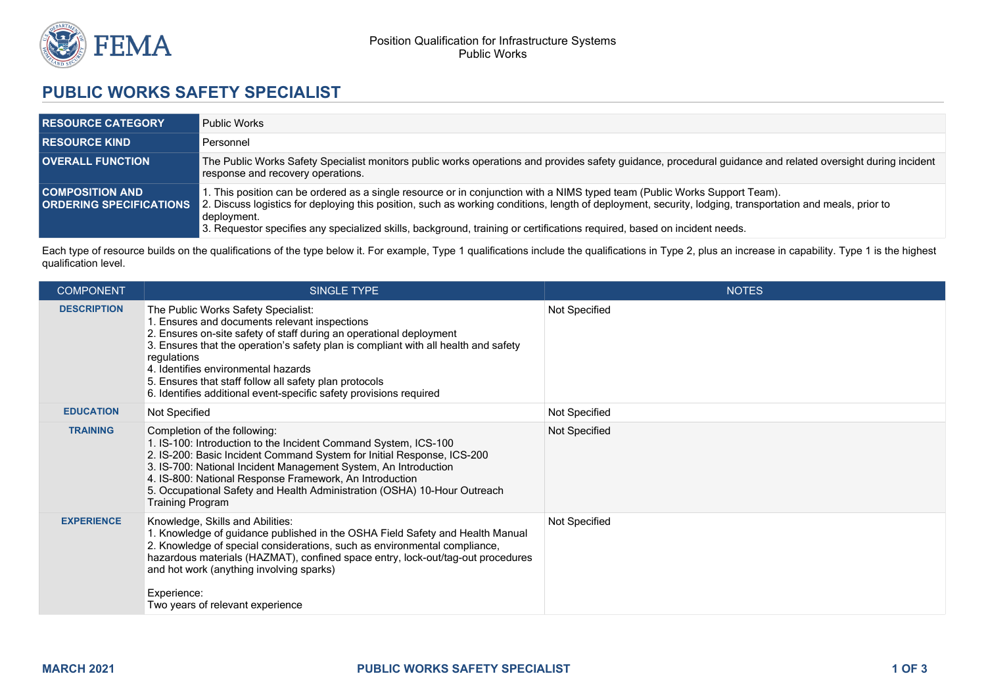

## **PUBLIC WORKS SAFETY SPECIALIST**

| <b>RESOURCE CATEGORY</b> | <b>Public Works</b>                                                                                                                                                                                                                                                                                                                                                                                                                                               |
|--------------------------|-------------------------------------------------------------------------------------------------------------------------------------------------------------------------------------------------------------------------------------------------------------------------------------------------------------------------------------------------------------------------------------------------------------------------------------------------------------------|
| <b>RESOURCE KIND</b>     | Personnel                                                                                                                                                                                                                                                                                                                                                                                                                                                         |
| <b>OVERALL FUNCTION</b>  | The Public Works Safety Specialist monitors public works operations and provides safety guidance, procedural guidance and related oversight during incident<br>response and recovery operations.                                                                                                                                                                                                                                                                  |
| <b>COMPOSITION AND .</b> | 1. This position can be ordered as a single resource or in conjunction with a NIMS typed team (Public Works Support Team).<br><b>ORDERING SPECIFICATIONS</b> 2. Discuss logistics for deploying this position, such as working conditions, length of deployment, security, lodging, transportation and meals, prior to<br>deployment.<br>3. Requestor specifies any specialized skills, background, training or certifications required, based on incident needs. |

Each type of resource builds on the qualifications of the type below it. For example, Type 1 qualifications include the qualifications in Type 2, plus an increase in capability. Type 1 is the highest qualification level.

| <b>COMPONENT</b>   | SINGLE TYPE                                                                                                                                                                                                                                                                                                                                                                                                                              | <b>NOTES</b>  |
|--------------------|------------------------------------------------------------------------------------------------------------------------------------------------------------------------------------------------------------------------------------------------------------------------------------------------------------------------------------------------------------------------------------------------------------------------------------------|---------------|
| <b>DESCRIPTION</b> | The Public Works Safety Specialist:<br>1. Ensures and documents relevant inspections<br>2. Ensures on-site safety of staff during an operational deployment<br>3. Ensures that the operation's safety plan is compliant with all health and safety<br>regulations<br>4. Identifies environmental hazards<br>5. Ensures that staff follow all safety plan protocols<br>6. Identifies additional event-specific safety provisions required | Not Specified |
| <b>EDUCATION</b>   | Not Specified                                                                                                                                                                                                                                                                                                                                                                                                                            | Not Specified |
| <b>TRAINING</b>    | Completion of the following:<br>1. IS-100: Introduction to the Incident Command System, ICS-100<br>2. IS-200: Basic Incident Command System for Initial Response, ICS-200<br>3. IS-700: National Incident Management System, An Introduction<br>4. IS-800: National Response Framework, An Introduction<br>5. Occupational Safety and Health Administration (OSHA) 10-Hour Outreach<br><b>Training Program</b>                           | Not Specified |
| <b>EXPERIENCE</b>  | Knowledge, Skills and Abilities:<br>1. Knowledge of guidance published in the OSHA Field Safety and Health Manual<br>2. Knowledge of special considerations, such as environmental compliance,<br>hazardous materials (HAZMAT), confined space entry, lock-out/tag-out procedures<br>and hot work (anything involving sparks)<br>Experience:<br>Two years of relevant experience                                                         | Not Specified |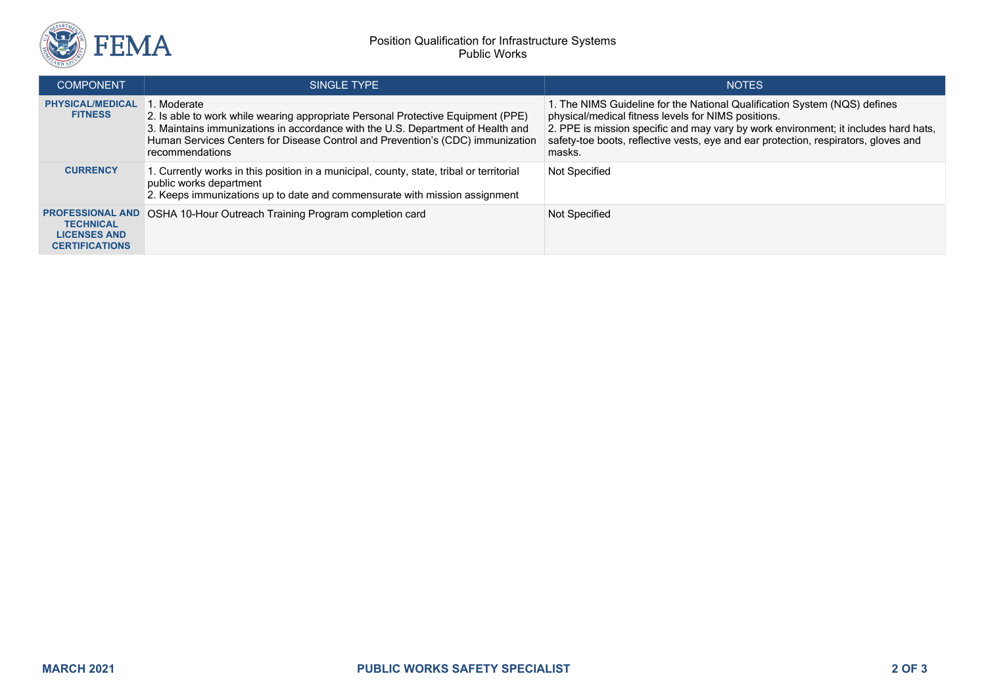

| <b>COMPONENT</b>                                                                            | SINGLE TYPE                                                                                                                                                                                                                                                                            | <b>NOTES</b>                                                                                                                                                                                                                                                                                                             |
|---------------------------------------------------------------------------------------------|----------------------------------------------------------------------------------------------------------------------------------------------------------------------------------------------------------------------------------------------------------------------------------------|--------------------------------------------------------------------------------------------------------------------------------------------------------------------------------------------------------------------------------------------------------------------------------------------------------------------------|
| <b>PHYSICAL/MEDICAL</b><br><b>FITNESS</b>                                                   | . Moderate<br>2. Is able to work while wearing appropriate Personal Protective Equipment (PPE)<br>3. Maintains immunizations in accordance with the U.S. Department of Health and<br>Human Services Centers for Disease Control and Prevention's (CDC) immunization<br>recommendations | 1. The NIMS Guideline for the National Qualification System (NQS) defines<br>physical/medical fitness levels for NIMS positions.<br>2. PPE is mission specific and may vary by work environment; it includes hard hats,<br>safety-toe boots, reflective vests, eye and ear protection, respirators, gloves and<br>masks. |
| <b>CURRENCY</b>                                                                             | 1. Currently works in this position in a municipal, county, state, tribal or territorial<br>public works department<br>2. Keeps immunizations up to date and commensurate with mission assignment                                                                                      | Not Specified                                                                                                                                                                                                                                                                                                            |
| <b>PROFESSIONAL AND</b><br><b>TECHNICAL</b><br><b>LICENSES AND</b><br><b>CERTIFICATIONS</b> | OSHA 10-Hour Outreach Training Program completion card                                                                                                                                                                                                                                 | Not Specified                                                                                                                                                                                                                                                                                                            |